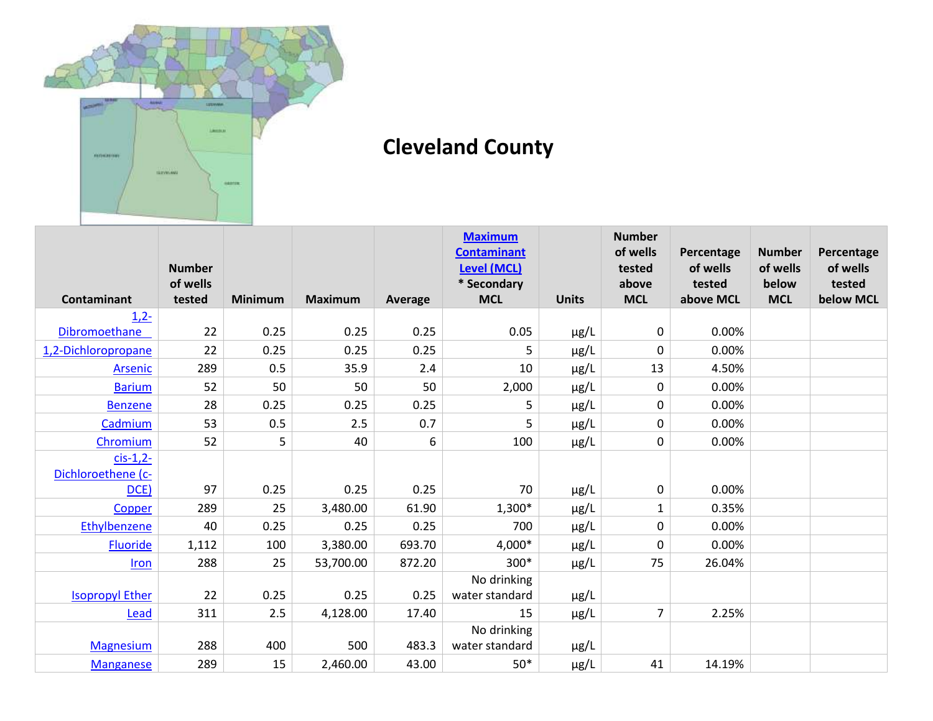

## **Cleveland County**

|                        |                           |                |                |                | <b>Maximum</b>                    |              | <b>Number</b>   |                    |                   |                    |
|------------------------|---------------------------|----------------|----------------|----------------|-----------------------------------|--------------|-----------------|--------------------|-------------------|--------------------|
|                        |                           |                |                |                | <b>Contaminant</b>                |              | of wells        | Percentage         | <b>Number</b>     | Percentage         |
|                        | <b>Number</b><br>of wells |                |                |                | <b>Level (MCL)</b><br>* Secondary |              | tested<br>above | of wells<br>tested | of wells<br>below | of wells<br>tested |
| <b>Contaminant</b>     | tested                    | <b>Minimum</b> | <b>Maximum</b> | <b>Average</b> | <b>MCL</b>                        | <b>Units</b> | <b>MCL</b>      | above MCL          | <b>MCL</b>        | below MCL          |
| $1,2-$                 |                           |                |                |                |                                   |              |                 |                    |                   |                    |
| Dibromoethane          | 22                        | 0.25           | 0.25           | 0.25           | 0.05                              | µg/L         | 0               | 0.00%              |                   |                    |
| 1,2-Dichloropropane    | 22                        | 0.25           | 0.25           | 0.25           | 5                                 | µg/L         | 0               | 0.00%              |                   |                    |
| <b>Arsenic</b>         | 289                       | 0.5            | 35.9           | 2.4            | 10                                | μg/L         | 13              | 4.50%              |                   |                    |
| <b>Barium</b>          | 52                        | 50             | 50             | 50             | 2,000                             | $\mu$ g/L    | 0               | 0.00%              |                   |                    |
| <b>Benzene</b>         | 28                        | 0.25           | 0.25           | 0.25           | 5                                 | μg/L         | 0               | 0.00%              |                   |                    |
| Cadmium                | 53                        | 0.5            | 2.5            | 0.7            | 5                                 | µg/L         | 0               | 0.00%              |                   |                    |
| Chromium               | 52                        | 5              | 40             | 6              | 100                               | µg/L         | 0               | 0.00%              |                   |                    |
| $cis-1,2$ -            |                           |                |                |                |                                   |              |                 |                    |                   |                    |
| Dichloroethene (c-     |                           |                |                |                |                                   |              |                 |                    |                   |                    |
| DCE)                   | 97                        | 0.25           | 0.25           | 0.25           | 70                                | µg/L         | $\pmb{0}$       | 0.00%              |                   |                    |
| Copper                 | 289                       | 25             | 3,480.00       | 61.90          | $1,300*$                          | µg/L         | $\mathbf{1}$    | 0.35%              |                   |                    |
| Ethylbenzene           | 40                        | 0.25           | 0.25           | 0.25           | 700                               | µg/L         | 0               | 0.00%              |                   |                    |
| Fluoride               | 1,112                     | 100            | 3,380.00       | 693.70         | 4,000*                            | µg/L         | 0               | 0.00%              |                   |                    |
| Iron                   | 288                       | 25             | 53,700.00      | 872.20         | 300*                              | μg/L         | 75              | 26.04%             |                   |                    |
|                        |                           |                |                |                | No drinking                       |              |                 |                    |                   |                    |
| <b>Isopropyl Ether</b> | 22                        | 0.25           | 0.25           | 0.25           | water standard                    | µg/L         |                 |                    |                   |                    |
| Lead                   | 311                       | 2.5            | 4,128.00       | 17.40          | 15                                | µg/L         | $\overline{7}$  | 2.25%              |                   |                    |
|                        |                           |                |                |                | No drinking                       |              |                 |                    |                   |                    |
| <b>Magnesium</b>       | 288                       | 400            | 500            | 483.3          | water standard                    | μg/L         |                 |                    |                   |                    |
| <b>Manganese</b>       | 289                       | 15             | 2,460.00       | 43.00          | $50*$                             | μg/L         | 41              | 14.19%             |                   |                    |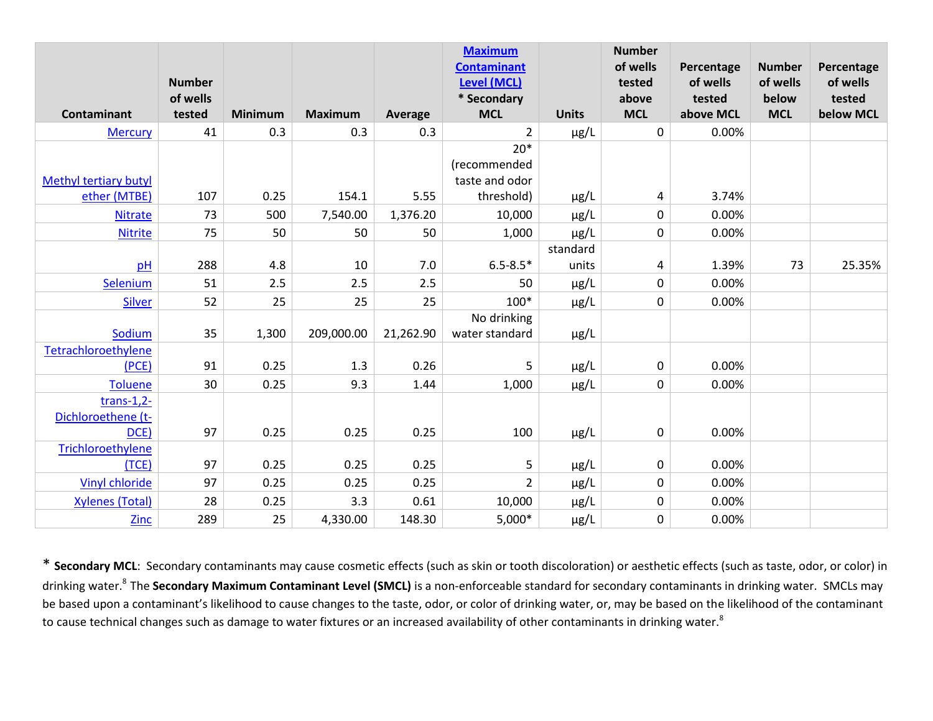|                              | <b>Number</b> |                |                |           | <b>Maximum</b><br><b>Contaminant</b><br>Level (MCL) |              | <b>Number</b><br>of wells<br>tested | Percentage<br>of wells | <b>Number</b><br>of wells | Percentage<br>of wells |
|------------------------------|---------------|----------------|----------------|-----------|-----------------------------------------------------|--------------|-------------------------------------|------------------------|---------------------------|------------------------|
|                              | of wells      |                |                |           | * Secondary                                         |              | above                               | tested                 | below                     | tested                 |
| Contaminant                  | tested        | <b>Minimum</b> | <b>Maximum</b> | Average   | <b>MCL</b>                                          | <b>Units</b> | <b>MCL</b>                          | above MCL              | <b>MCL</b>                | below MCL              |
| <b>Mercury</b>               | 41            | 0.3            | 0.3            | 0.3       | $\overline{2}$                                      | $\mu$ g/L    | $\mathbf 0$                         | 0.00%                  |                           |                        |
|                              |               |                |                |           | $20*$                                               |              |                                     |                        |                           |                        |
|                              |               |                |                |           | (recommended                                        |              |                                     |                        |                           |                        |
| <b>Methyl tertiary butyl</b> |               |                |                |           | taste and odor                                      |              |                                     |                        |                           |                        |
| ether (MTBE)                 | 107           | 0.25           | 154.1          | 5.55      | threshold)                                          | $\mu$ g/L    | 4                                   | 3.74%                  |                           |                        |
| <b>Nitrate</b>               | 73            | 500            | 7,540.00       | 1,376.20  | 10,000                                              | $\mu$ g/L    | 0                                   | 0.00%                  |                           |                        |
| <b>Nitrite</b>               | 75            | 50             | 50             | 50        | 1,000                                               | µg/L         | 0                                   | 0.00%                  |                           |                        |
|                              |               |                |                |           |                                                     | standard     |                                     |                        |                           |                        |
| pH                           | 288           | 4.8            | 10             | 7.0       | $6.5 - 8.5*$                                        | units        | 4                                   | 1.39%                  | 73                        | 25.35%                 |
| Selenium                     | 51            | 2.5            | 2.5            | 2.5       | 50                                                  | µg/L         | 0                                   | 0.00%                  |                           |                        |
| <b>Silver</b>                | 52            | 25             | 25             | 25        | $100*$                                              | $\mu$ g/L    | $\pmb{0}$                           | 0.00%                  |                           |                        |
|                              |               |                |                |           | No drinking                                         |              |                                     |                        |                           |                        |
| Sodium                       | 35            | 1,300          | 209,000.00     | 21,262.90 | water standard                                      | μg/L         |                                     |                        |                           |                        |
| Tetrachloroethylene          |               |                |                |           |                                                     |              |                                     |                        |                           |                        |
| (PCE)                        | 91            | 0.25           | 1.3            | 0.26      | 5                                                   | $\mu$ g/L    | 0                                   | 0.00%                  |                           |                        |
| <b>Toluene</b>               | 30            | 0.25           | 9.3            | 1.44      | 1,000                                               | µg/L         | 0                                   | 0.00%                  |                           |                        |
| $trans-1,2-$                 |               |                |                |           |                                                     |              |                                     |                        |                           |                        |
| Dichloroethene (t-           |               |                |                |           |                                                     |              |                                     |                        |                           |                        |
| DCE)                         | 97            | 0.25           | 0.25           | 0.25      | 100                                                 | $\mu$ g/L    | $\mathbf 0$                         | 0.00%                  |                           |                        |
| Trichloroethylene            |               |                |                |           |                                                     |              |                                     |                        |                           |                        |
| (TCE)                        | 97            | 0.25           | 0.25           | 0.25      | 5                                                   | μg/L         | 0                                   | 0.00%                  |                           |                        |
| <b>Vinyl chloride</b>        | 97            | 0.25           | 0.25           | 0.25      | $\overline{2}$                                      | µg/L         | 0                                   | 0.00%                  |                           |                        |
| <b>Xylenes (Total)</b>       | 28            | 0.25           | 3.3            | 0.61      | 10,000                                              | µg/L         | 0                                   | 0.00%                  |                           |                        |
| <b>Zinc</b>                  | 289           | 25             | 4,330.00       | 148.30    | $5,000*$                                            | µg/L         | 0                                   | 0.00%                  |                           |                        |

\* **Secondary MCL**: Secondary contaminants may cause cosmetic effects (such as skin or tooth discoloration) or aesthetic effects (such as taste, odor, or color) in drinking water.<sup>8</sup>The **Secondary Maximum Contaminant Level (SMCL)** is a non-enforceable standard for secondary contaminants in drinking water. SMCLs may be based upon a contaminant's likelihood to cause changes to the taste, odor, or color of drinking water, or, may be based on the likelihood of the contaminant to cause technical changes such as damage to water fixtures or an increased availability of other contaminants in drinking water.<sup>8</sup>